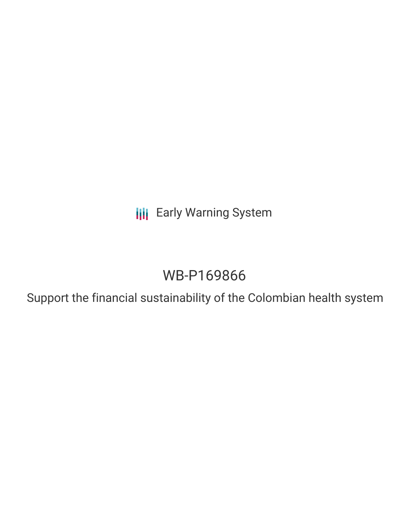**III** Early Warning System

# WB-P169866

Support the financial sustainability of the Colombian health system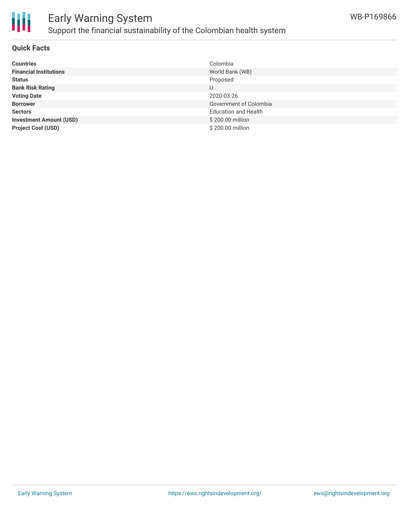

# Early Warning System Support the financial sustainability of the Colombian health system

#### **Quick Facts**

| <b>Countries</b>               | Colombia                    |
|--------------------------------|-----------------------------|
| <b>Financial Institutions</b>  | World Bank (WB)             |
| <b>Status</b>                  | Proposed                    |
| <b>Bank Risk Rating</b>        | U                           |
| <b>Voting Date</b>             | 2020-03-26                  |
| <b>Borrower</b>                | Government of Colombia      |
| <b>Sectors</b>                 | <b>Education and Health</b> |
| <b>Investment Amount (USD)</b> | \$200.00 million            |
| <b>Project Cost (USD)</b>      | \$200.00 million            |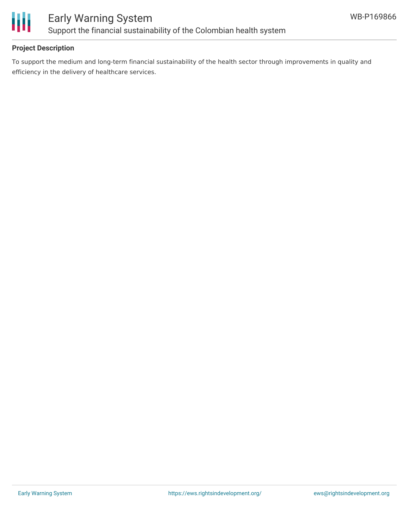

### **Project Description**

To support the medium and long-term financial sustainability of the health sector through improvements in quality and efficiency in the delivery of healthcare services.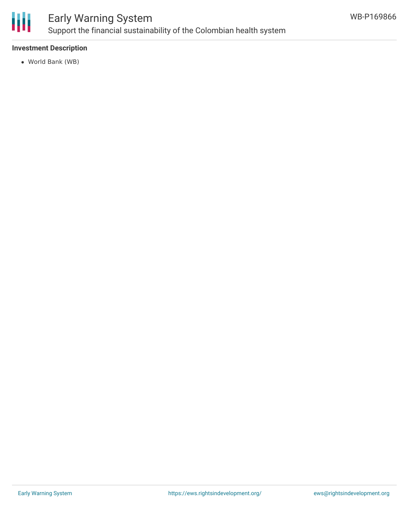

# Early Warning System Support the financial sustainability of the Colombian health system

### **Investment Description**

World Bank (WB)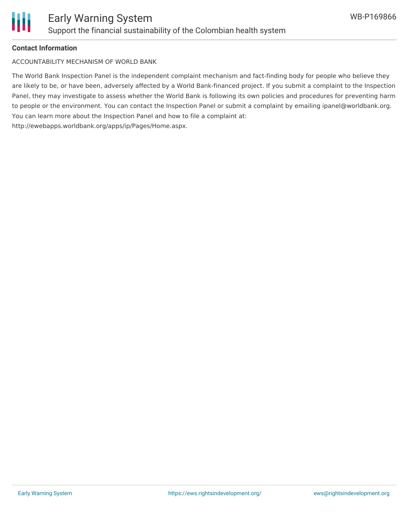

#### **Contact Information**

ACCOUNTABILITY MECHANISM OF WORLD BANK

The World Bank Inspection Panel is the independent complaint mechanism and fact-finding body for people who believe they are likely to be, or have been, adversely affected by a World Bank-financed project. If you submit a complaint to the Inspection Panel, they may investigate to assess whether the World Bank is following its own policies and procedures for preventing harm to people or the environment. You can contact the Inspection Panel or submit a complaint by emailing ipanel@worldbank.org. You can learn more about the Inspection Panel and how to file a complaint at: http://ewebapps.worldbank.org/apps/ip/Pages/Home.aspx.